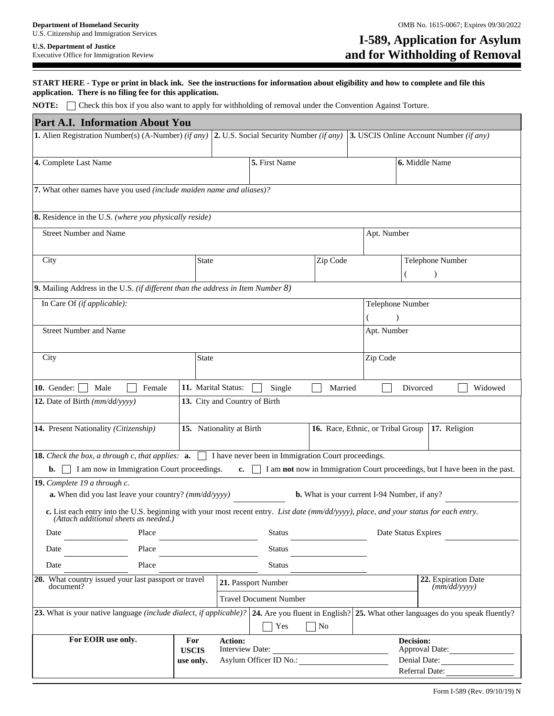# **I-589, Application for Asylum and for Withholding of Removal**

| START HERE - Type or print in black ink. See the instructions for information about eligibility and how to complete and file this<br>application. There is no filing fee for this application. |  |  |  |
|------------------------------------------------------------------------------------------------------------------------------------------------------------------------------------------------|--|--|--|
| Check this box if you also want to apply for withholding of removal under the Convention Against Torture.<br>NOTE:                                                                             |  |  |  |
| <b>Part A.I. Information About You</b>                                                                                                                                                         |  |  |  |
| <b>1.</b> Alien Registration Number(s) (A-Number) (if any) <b>2.</b> U.S. Social Security Number (if any) <b>3.</b> USCIS Online Account Number (if any)                                       |  |  |  |

| 4. Complete Last Name                                                                                                                                                           |                                  | 5. First Name                 |                               |                                                     | 6. Middle Name                    |                     |                                                                             |
|---------------------------------------------------------------------------------------------------------------------------------------------------------------------------------|----------------------------------|-------------------------------|-------------------------------|-----------------------------------------------------|-----------------------------------|---------------------|-----------------------------------------------------------------------------|
| 7. What other names have you used (include maiden name and aliases)?                                                                                                            |                                  |                               |                               |                                                     |                                   |                     |                                                                             |
| 8. Residence in the U.S. (where you physically reside)                                                                                                                          |                                  |                               |                               |                                                     |                                   |                     |                                                                             |
| <b>Street Number and Name</b>                                                                                                                                                   |                                  |                               |                               |                                                     | Apt. Number                       |                     |                                                                             |
| City                                                                                                                                                                            | <b>State</b>                     |                               |                               | Zip Code                                            |                                   |                     | Telephone Number<br>$\lambda$                                               |
| 9. Mailing Address in the U.S. (if different than the address in Item Number 8)                                                                                                 |                                  |                               |                               |                                                     |                                   |                     |                                                                             |
| In Care Of (if applicable):                                                                                                                                                     |                                  |                               |                               |                                                     | Telephone Number                  |                     |                                                                             |
| <b>Street Number and Name</b>                                                                                                                                                   |                                  |                               |                               |                                                     | Apt. Number                       |                     |                                                                             |
| City                                                                                                                                                                            | <b>State</b>                     |                               |                               |                                                     | Zip Code                          |                     |                                                                             |
| 10. Gender:<br>Male<br>Female                                                                                                                                                   | 11. Marital Status:              |                               | Single                        | Married                                             |                                   | Divorced            | Widowed                                                                     |
| 12. Date of Birth (mm/dd/yyyy)                                                                                                                                                  |                                  | 13. City and Country of Birth |                               |                                                     |                                   |                     |                                                                             |
| 14. Present Nationality (Citizenship)                                                                                                                                           |                                  | 15. Nationality at Birth      |                               |                                                     | 16. Race, Ethnic, or Tribal Group |                     | 17. Religion                                                                |
| 18. Check the box, a through $c$ , that applies: $a$ .                                                                                                                          |                                  |                               |                               | I have never been in Immigration Court proceedings. |                                   |                     |                                                                             |
| I am now in Immigration Court proceedings.<br>b.                                                                                                                                |                                  | c.                            |                               |                                                     |                                   |                     | I am not now in Immigration Court proceedings, but I have been in the past. |
| 19. Complete 19 a through c.<br><b>a.</b> When did you last leave your country? $(mm/dd/yyyy)$                                                                                  |                                  |                               |                               | <b>b.</b> What is your current I-94 Number, if any? |                                   |                     |                                                                             |
| c. List each entry into the U.S. beginning with your most recent entry. List date (mm/dd/yyyy), place, and your status for each entry.<br>(Attach additional sheets as needed.) |                                  |                               |                               |                                                     |                                   |                     |                                                                             |
| Place<br>Date                                                                                                                                                                   |                                  |                               | <b>Status</b>                 |                                                     |                                   | Date Status Expires |                                                                             |
| Place<br>Date                                                                                                                                                                   |                                  |                               | <b>Status</b>                 |                                                     |                                   |                     |                                                                             |
| Place<br>Date                                                                                                                                                                   |                                  |                               | <b>Status</b>                 |                                                     |                                   |                     |                                                                             |
| 20. What country issued your last passport or travel<br>document?                                                                                                               |                                  |                               | 21. Passport Number           |                                                     |                                   |                     | 22. Expiration Date<br>(mm/dd/yyyy)                                         |
|                                                                                                                                                                                 |                                  |                               | <b>Travel Document Number</b> |                                                     |                                   |                     |                                                                             |
| 23. What is your native language <i>(include dialect, if applicable)</i> ? 24. Are you fluent in English? 25. What other languages do you speak fluently?                       |                                  |                               | Yes                           | $\rm No$                                            |                                   |                     |                                                                             |
| For EOIR use only.                                                                                                                                                              | For<br><b>USCIS</b><br>use only. | Action:<br>Interview Date:    | Asylum Officer ID No.:        |                                                     |                                   | <b>Decision:</b>    | Approval Date:<br>Denial Date:<br>Referral Date:                            |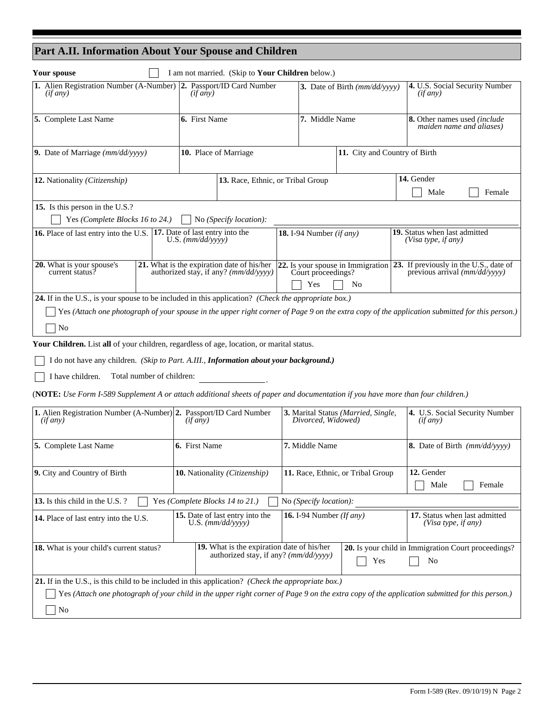## **Part A.II. Information About Your Spouse and Children**

| Your spouse                                                                                                                                    | I am not married. (Skip to <b>Your Children</b> below.) |                                                               |                                                                                       |                                                                          |                                            |                                                                                                                 |                                                      |  |
|------------------------------------------------------------------------------------------------------------------------------------------------|---------------------------------------------------------|---------------------------------------------------------------|---------------------------------------------------------------------------------------|--------------------------------------------------------------------------|--------------------------------------------|-----------------------------------------------------------------------------------------------------------------|------------------------------------------------------|--|
| 1. Alien Registration Number (A-Number) 2. Passport/ID Card Number<br>(if any)<br>$(if$ any $)$                                                |                                                         |                                                               | 3. Date of Birth $(mm/dd/vvvv)$                                                       |                                                                          | 4. U.S. Social Security Number<br>(if any) |                                                                                                                 |                                                      |  |
| 6. First Name<br><b>5.</b> Complete Last Name                                                                                                  |                                                         | 7. Middle Name                                                |                                                                                       | <b>8.</b> Other names used <i>(include</i> )<br>maiden name and aliases) |                                            |                                                                                                                 |                                                      |  |
| 9. Date of Marriage $(mm/dd/yyyy)$<br>10. Place of Marriage                                                                                    |                                                         |                                                               |                                                                                       | 11. City and Country of Birth                                            |                                            |                                                                                                                 |                                                      |  |
| <b>12.</b> Nationality <i>(Citizenship)</i>                                                                                                    |                                                         |                                                               | 13. Race, Ethnic, or Tribal Group                                                     |                                                                          |                                            |                                                                                                                 | 14. Gender                                           |  |
|                                                                                                                                                |                                                         |                                                               |                                                                                       |                                                                          |                                            |                                                                                                                 | Male<br>Female                                       |  |
| 15. Is this person in the U.S.?                                                                                                                |                                                         |                                                               |                                                                                       |                                                                          |                                            |                                                                                                                 |                                                      |  |
| Yes (Complete Blocks 16 to 24.)                                                                                                                |                                                         |                                                               | No (Specify location):                                                                |                                                                          |                                            |                                                                                                                 |                                                      |  |
| 16. Place of last entry into the U.S.                                                                                                          |                                                         | <b>17.</b> Date of last entry into the<br>U.S. $(mm/dd/vyyy)$ |                                                                                       |                                                                          | 18. I-94 Number $(if$ any)                 |                                                                                                                 | 19. Status when last admitted<br>(Visa type, if any) |  |
| 20. What is your spouse's<br>current status?                                                                                                   |                                                         |                                                               | 21. What is the expiration date of his/her<br>authorized stay, if any? $(mm/dd/vyyy)$ | Court proceedings?                                                       |                                            | 22. Is your spouse in Immigration $ 23$ . If previously in the U.S., date of<br>previous arrival $(mm/dd/vyyy)$ |                                                      |  |
|                                                                                                                                                |                                                         |                                                               |                                                                                       |                                                                          | Yes                                        | N <sub>0</sub>                                                                                                  |                                                      |  |
| 24. If in the U.S., is your spouse to be included in this application? (Check the appropriate box.)                                            |                                                         |                                                               |                                                                                       |                                                                          |                                            |                                                                                                                 |                                                      |  |
| Yes (Attach one photograph of your spouse in the upper right corner of Page 9 on the extra copy of the application submitted for this person.) |                                                         |                                                               |                                                                                       |                                                                          |                                            |                                                                                                                 |                                                      |  |
| $\rm No$                                                                                                                                       |                                                         |                                                               |                                                                                       |                                                                          |                                            |                                                                                                                 |                                                      |  |
| <b>Your Children.</b> List all of your children, regardless of age, location, or marital status.                                               |                                                         |                                                               |                                                                                       |                                                                          |                                            |                                                                                                                 |                                                      |  |
|                                                                                                                                                |                                                         |                                                               |                                                                                       |                                                                          |                                            |                                                                                                                 |                                                      |  |

I do not have any children. *(Skip to Part. A.III., Information about your background.)*

I have children. Total number of children:

(**NOTE:** *Use Form I-589 Supplement A or attach additional sheets of paper and documentation if you have more than four children.)*

| <b>1.</b> Alien Registration Number (A-Number) <b>2.</b> Passport/ID Card Number<br>(if any)                                                    | (if any)                                                      | 3. Marital Status (Married, Single,<br>Divorced, Widowed)                                                                                     | 4. U.S. Social Security Number<br>(if any)                                   |  |
|-------------------------------------------------------------------------------------------------------------------------------------------------|---------------------------------------------------------------|-----------------------------------------------------------------------------------------------------------------------------------------------|------------------------------------------------------------------------------|--|
| <b>5.</b> Complete Last Name                                                                                                                    | 6. First Name                                                 | <b>7.</b> Middle Name                                                                                                                         | <b>8.</b> Date of Birth $\text{(mm/dd/yyyy)}$                                |  |
| <b>9.</b> City and Country of Birth                                                                                                             | <b>10.</b> Nationality <i>(Citizenship)</i>                   | 11. Race, Ethnic, or Tribal Group                                                                                                             | 12. Gender                                                                   |  |
|                                                                                                                                                 |                                                               |                                                                                                                                               | Male<br>Female                                                               |  |
| <b>13.</b> Is this child in the U.S.?<br>Yes (Complete Blocks 14 to 21.)<br>No ( <i>Specify location</i> ):                                     |                                                               |                                                                                                                                               |                                                                              |  |
| 14. Place of last entry into the U.S.                                                                                                           | <b>15.</b> Date of last entry into the<br>U.S. $(mm/dd/yyyy)$ | 16. I-94 Number $(If any)$                                                                                                                    | 17. Status when last admitted<br>(Visa type, if any)                         |  |
| <b>19.</b> What is the expiration date of his/her<br><b>18.</b> What is your child's current status?<br>authorized stay, if any? $(mm/dd/vyyy)$ |                                                               | Yes                                                                                                                                           | <b>20.</b> Is your child in Immigration Court proceedings?<br>N <sub>0</sub> |  |
| <b>21.</b> If in the U.S., is this child to be included in this application? (Check the appropriate box.)<br>No                                 |                                                               | Yes (Attach one photograph of your child in the upper right corner of Page 9 on the extra copy of the application submitted for this person.) |                                                                              |  |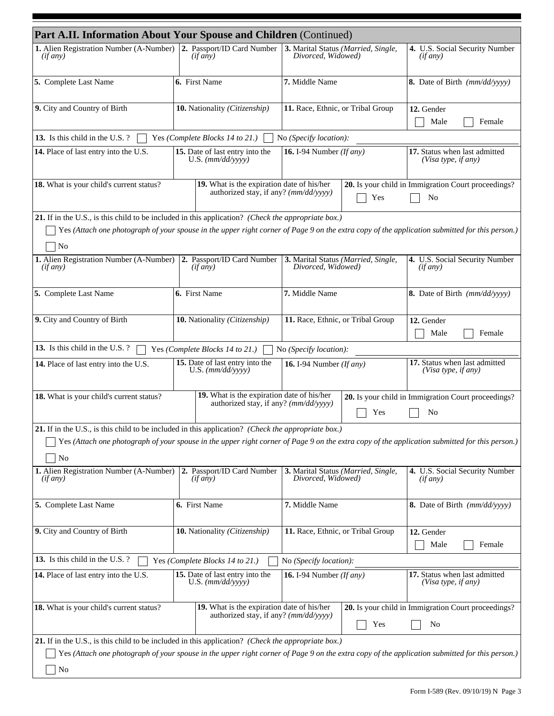| Part A.II. Information About Your Spouse and Children (Continued)                                                                                                                                                                                          |                                                                                       |                                                                                                                                                |                                                           |  |
|------------------------------------------------------------------------------------------------------------------------------------------------------------------------------------------------------------------------------------------------------------|---------------------------------------------------------------------------------------|------------------------------------------------------------------------------------------------------------------------------------------------|-----------------------------------------------------------|--|
| <b>1.</b> Alien Registration Number (A-Number)<br>(it any)                                                                                                                                                                                                 | 2. Passport/ID Card Number<br>(if any)                                                | 3. Marital Status (Married, Single,<br>Divorced, Widowed)                                                                                      | 4. U.S. Social Security Number<br>(if any)                |  |
| 5. Complete Last Name                                                                                                                                                                                                                                      | 6. First Name                                                                         | 7. Middle Name                                                                                                                                 | 8. Date of Birth (mm/dd/yyyy)                             |  |
| 9. City and Country of Birth<br>10. Nationality (Citizenship)                                                                                                                                                                                              |                                                                                       | 11. Race, Ethnic, or Tribal Group                                                                                                              | 12. Gender<br>Male<br>Female                              |  |
| 13. Is this child in the U.S. ?                                                                                                                                                                                                                            | Yes (Complete Blocks 14 to 21.)                                                       | No (Specify location):                                                                                                                         |                                                           |  |
| 14. Place of last entry into the U.S.                                                                                                                                                                                                                      | 15. Date of last entry into the<br>U.S. $(mm/dd/vyyy)$                                | 16. I-94 Number $(If any)$                                                                                                                     | 17. Status when last admitted<br>(Visa type, if any)      |  |
| 18. What is your child's current status?                                                                                                                                                                                                                   | 19. What is the expiration date of his/her<br>authorized stay, if any? (mm/dd/yyyy)   | Yes                                                                                                                                            | 20. Is your child in Immigration Court proceedings?<br>No |  |
| 21. If in the U.S., is this child to be included in this application? (Check the appropriate box.)<br>Yes (Attach one photograph of your spouse in the upper right corner of Page 9 on the extra copy of the application submitted for this person.)<br>No |                                                                                       |                                                                                                                                                |                                                           |  |
| 1. Alien Registration Number (A-Number)<br>(if any)                                                                                                                                                                                                        | 2. Passport/ID Card Number<br>(if any)                                                | 3. Marital Status (Married, Single,<br>Divorced, Widowed)                                                                                      | 4. U.S. Social Security Number<br>(it any)                |  |
| 5. Complete Last Name                                                                                                                                                                                                                                      | 6. First Name                                                                         | 7. Middle Name                                                                                                                                 | 8. Date of Birth (mm/dd/yyyy)                             |  |
| 9. City and Country of Birth                                                                                                                                                                                                                               | 10. Nationality (Citizenship)                                                         | 11. Race, Ethnic, or Tribal Group                                                                                                              | 12. Gender<br>Male<br>Female                              |  |
| 13. Is this child in the U.S.?                                                                                                                                                                                                                             | Yes (Complete Blocks 14 to 21.)                                                       | No (Specify location):                                                                                                                         |                                                           |  |
| 14. Place of last entry into the U.S.                                                                                                                                                                                                                      | 15. Date of last entry into the<br>U.S. $(mm/dd/vyyy)$                                | 16. I-94 Number $(If any)$                                                                                                                     | 17. Status when last admitted<br>(Visa type, if any)      |  |
| 18. What is your child's current status?                                                                                                                                                                                                                   | 19. What is the expiration date of his/her<br>authorized stay, if any? $(mm/dd/vyyy)$ | Yes                                                                                                                                            | 20. Is your child in Immigration Court proceedings?<br>No |  |
| 21. If in the U.S., is this child to be included in this application? (Check the appropriate box.)<br>No                                                                                                                                                   |                                                                                       | Yes (Attach one photograph of your spouse in the upper right corner of Page 9 on the extra copy of the application submitted for this person.) |                                                           |  |
| 1. Alien Registration Number (A-Number)<br>$(if$ any $)$                                                                                                                                                                                                   | 2. Passport/ID Card Number<br>(if any)                                                | 3. Marital Status (Married, Single,<br>Divorced, Widowed)                                                                                      | 4. U.S. Social Security Number<br>(if any)                |  |
| 5. Complete Last Name                                                                                                                                                                                                                                      | 6. First Name                                                                         | 7. Middle Name                                                                                                                                 | <b>8.</b> Date of Birth ( <i>mm/dd/yyyy</i> )             |  |
| 9. City and Country of Birth<br>10. Nationality (Citizenship)                                                                                                                                                                                              |                                                                                       | 11. Race, Ethnic, or Tribal Group                                                                                                              | 12. Gender<br>Male<br>Female                              |  |
| 13. Is this child in the U.S.?<br>Yes (Complete Blocks 14 to 21.)<br>No (Specify location):                                                                                                                                                                |                                                                                       |                                                                                                                                                |                                                           |  |
| 14. Place of last entry into the U.S.                                                                                                                                                                                                                      | 15. Date of last entry into the<br>U.S. $(mm/dd/yyyy)$                                | 16. I-94 Number $(If any)$                                                                                                                     | 17. Status when last admitted<br>(Visa type, if any)      |  |
| 18. What is your child's current status?                                                                                                                                                                                                                   | 19. What is the expiration date of his/her<br>authorized stay, if any? (mm/dd/yyyy)   | Yes                                                                                                                                            | 20. Is your child in Immigration Court proceedings?<br>No |  |
| 21. If in the U.S., is this child to be included in this application? (Check the appropriate box.)                                                                                                                                                         |                                                                                       | Yes (Attach one photograph of your spouse in the upper right corner of Page 9 on the extra copy of the application submitted for this person.) |                                                           |  |
| <b>No</b>                                                                                                                                                                                                                                                  |                                                                                       |                                                                                                                                                |                                                           |  |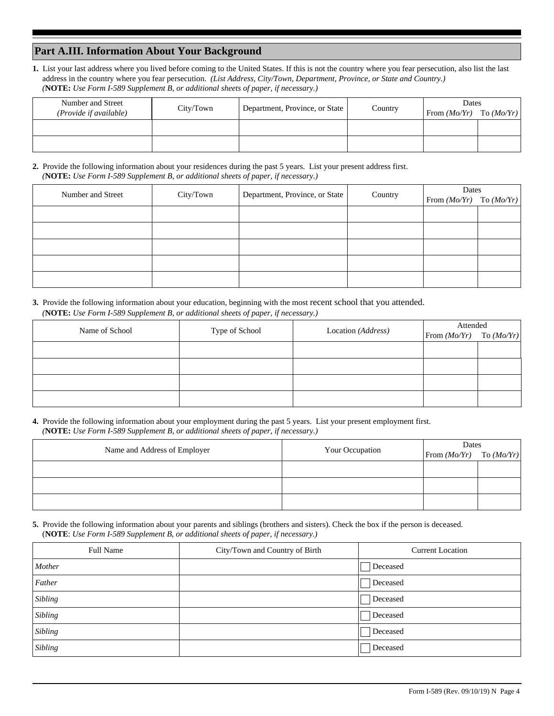#### **Part A.III. Information About Your Background**

**1.** List your last address where you lived before coming to the United States. If this is not the country where you fear persecution, also list the last address in the country where you fear persecution. *(List Address, City/Town, Department, Province, or State and Country.) (***NOTE:** *Use Form I-589 Supplement B, or additional sheets of paper, if necessary.)*

| Number and Street<br>(Provide if available) | City/Town | Department, Province, or State | Country | Dates<br>From $(Mo/Yr)$ To $(Mo/Yr)$ |  |
|---------------------------------------------|-----------|--------------------------------|---------|--------------------------------------|--|
|                                             |           |                                |         |                                      |  |
|                                             |           |                                |         |                                      |  |
|                                             |           |                                |         |                                      |  |
|                                             |           |                                |         |                                      |  |
|                                             |           |                                |         |                                      |  |
|                                             |           |                                |         |                                      |  |

#### **2.** Provide the following information about your residences during the past 5 years. List your present address first. *(***NOTE:** *Use Form I-589 Supplement B, or additional sheets of paper, if necessary.)*

| Number and Street | City/Town | Department, Province, or State | Country | Dates                       |  |
|-------------------|-----------|--------------------------------|---------|-----------------------------|--|
|                   |           |                                |         | From $(Mo/Yr)$ To $(Mo/Yr)$ |  |
|                   |           |                                |         |                             |  |
|                   |           |                                |         |                             |  |
|                   |           |                                |         |                             |  |
|                   |           |                                |         |                             |  |
|                   |           |                                |         |                             |  |

**3.** Provide the following information about your education, beginning with the most recent school that you attended. *(***NOTE:** *Use Form I-589 Supplement B, or additional sheets of paper, if necessary.)*

| Name of School | Type of School | Location (Address) | Attended<br>From $(Mo/Yr)$ To $(Mo/Yr)$ |  |
|----------------|----------------|--------------------|-----------------------------------------|--|
|                |                |                    |                                         |  |
|                |                |                    |                                         |  |
|                |                |                    |                                         |  |
|                |                |                    |                                         |  |

**4.** Provide the following information about your employment during the past 5 years. List your present employment first. *(***NOTE:** *Use Form I-589 Supplement B, or additional sheets of paper, if necessary.)*

| Name and Address of Employer | Your Occupation | Dates<br>From $(Mo/Yr)$ To $(Mo/Yr)$ |  |  |
|------------------------------|-----------------|--------------------------------------|--|--|
|                              |                 |                                      |  |  |
|                              |                 |                                      |  |  |
|                              |                 |                                      |  |  |
|                              |                 |                                      |  |  |
|                              |                 |                                      |  |  |
|                              |                 |                                      |  |  |

**5.** Provide the following information about your parents and siblings (brothers and sisters). Check the box if the person is deceased. (**NOTE**: *Use Form I-589 Supplement B, or additional sheets of paper, if necessary.)*

| <b>Full Name</b> | City/Town and Country of Birth | <b>Current Location</b> |
|------------------|--------------------------------|-------------------------|
| Mother           |                                | Deceased                |
| Father           |                                | Deceased                |
| Sibling          |                                | Deceased                |
| Sibling          |                                | Deceased                |
| Sibling          |                                | Deceased                |
| Sibling          |                                | Deceased                |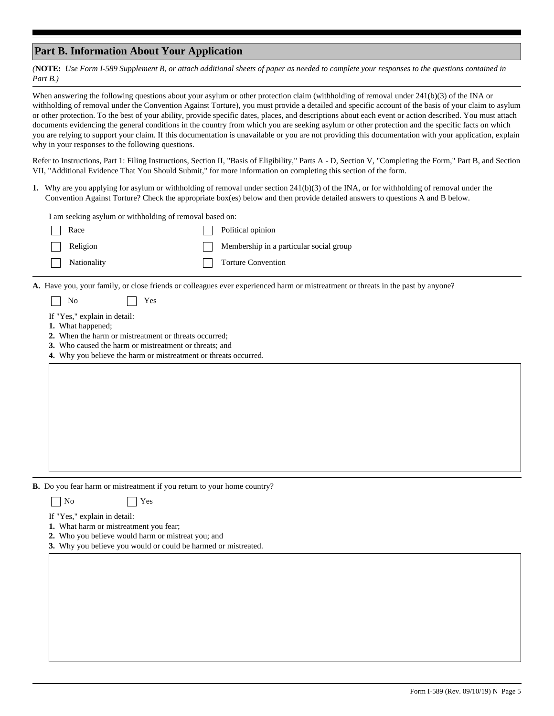#### **Part B. Information About Your Application**

*(***NOTE:** *Use Form I-589 Supplement B, or attach additional sheets of paper as needed to complete your responses to the questions contained in Part B.)*

When answering the following questions about your asylum or other protection claim (withholding of removal under 241(b)(3) of the INA or withholding of removal under the Convention Against Torture), you must provide a detailed and specific account of the basis of your claim to asylum or other protection. To the best of your ability, provide specific dates, places, and descriptions about each event or action described. You must attach documents evidencing the general conditions in the country from which you are seeking asylum or other protection and the specific facts on which you are relying to support your claim. If this documentation is unavailable or you are not providing this documentation with your application, explain why in your responses to the following questions.

Refer to Instructions, Part 1: Filing Instructions, Section II, "Basis of Eligibility," Parts A - D, Section V, "Completing the Form," Part B, and Section VII, "Additional Evidence That You Should Submit," for more information on completing this section of the form.

**1.** Why are you applying for asylum or withholding of removal under section 241(b)(3) of the INA, or for withholding of removal under the Convention Against Torture? Check the appropriate box(es) below and then provide detailed answers to questions A and B below.

I am seeking asylum or withholding of removal based on:

| Race        | Political opinion                              |
|-------------|------------------------------------------------|
| Religion    | $\Box$ Membership in a particular social group |
| Nationality | Torture Convention                             |

**A.** Have you, your family, or close friends or colleagues ever experienced harm or mistreatment or threats in the past by anyone?

Yes  $\Box$  No

If "Yes," explain in detail:

- **1.** What happened;
- **2.** When the harm or mistreatment or threats occurred;
- **3.** Who caused the harm or mistreatment or threats; and
- **4.** Why you believe the harm or mistreatment or threats occurred.

**B.** Do you fear harm or mistreatment if you return to your home country?

| N٥ |  |
|----|--|
|----|--|

Yes

If "Yes," explain in detail:

- **1.** What harm or mistreatment you fear;
- **2.** Who you believe would harm or mistreat you; and

**3.** Why you believe you would or could be harmed or mistreated.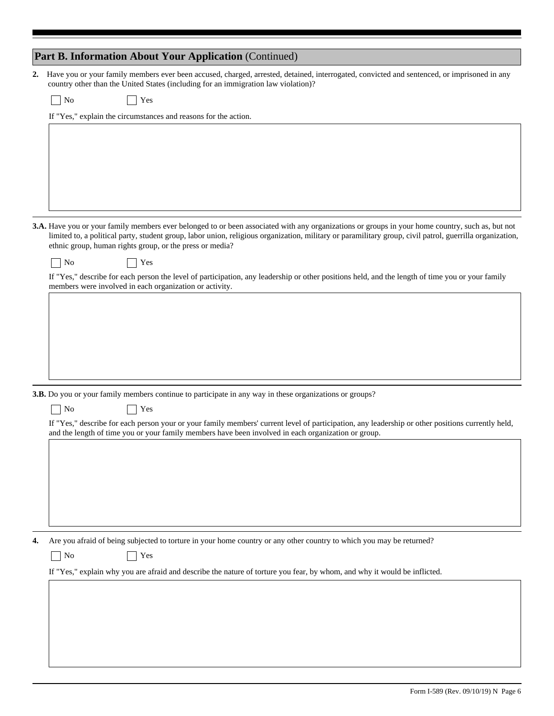|    | Part B. Information About Your Application (Continued)                                                                                                                                                                                                   |
|----|----------------------------------------------------------------------------------------------------------------------------------------------------------------------------------------------------------------------------------------------------------|
| 2. | Have you or your family members ever been accused, charged, arrested, detained, interrogated, convicted and sentenced, or imprisoned in any<br>country other than the United States (including for an immigration law violation)?                        |
|    | No<br>Yes                                                                                                                                                                                                                                                |
|    | If "Yes," explain the circumstances and reasons for the action.                                                                                                                                                                                          |
|    |                                                                                                                                                                                                                                                          |
|    | 3.A. Have you or your family members ever belonged to or been associated with any organizations or groups in your home country, such as, but not                                                                                                         |
|    | limited to, a political party, student group, labor union, religious organization, military or paramilitary group, civil patrol, guerrilla organization,<br>ethnic group, human rights group, or the press or media?<br>No<br>Yes                        |
|    | If "Yes," describe for each person the level of participation, any leadership or other positions held, and the length of time you or your family<br>members were involved in each organization or activity.                                              |
|    |                                                                                                                                                                                                                                                          |
|    | 3.B. Do you or your family members continue to participate in any way in these organizations or groups?<br>No<br>Yes                                                                                                                                     |
|    | If "Yes," describe for each person your or your family members' current level of participation, any leadership or other positions currently held,<br>and the length of time you or your family members have been involved in each organization or group. |
|    |                                                                                                                                                                                                                                                          |
| 4. | Are you afraid of being subjected to torture in your home country or any other country to which you may be returned?                                                                                                                                     |
|    | Yes<br>No<br>If "Yes," explain why you are afraid and describe the nature of torture you fear, by whom, and why it would be inflicted.                                                                                                                   |
|    |                                                                                                                                                                                                                                                          |
|    |                                                                                                                                                                                                                                                          |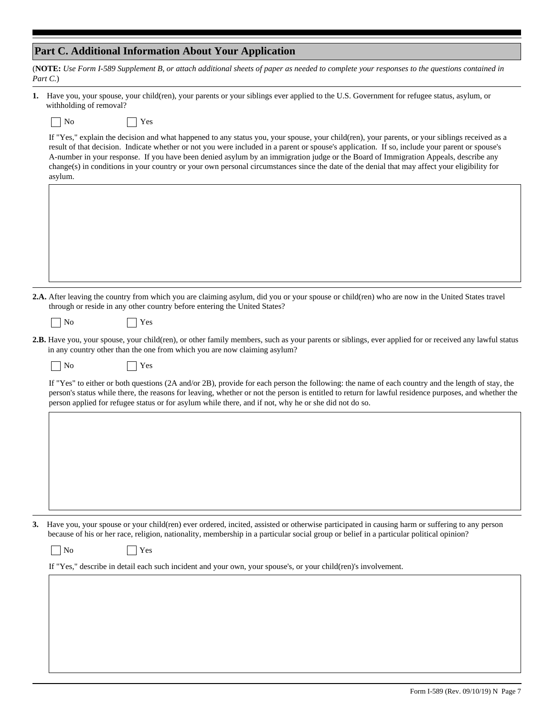### **Part C. Additional Information About Your Application**

|             | (NOTE: Use Form I-589 Supplement B, or attach additional sheets of paper as needed to complete your responses to the questions contained in |  |
|-------------|---------------------------------------------------------------------------------------------------------------------------------------------|--|
| Part $C$ .) |                                                                                                                                             |  |

| 1. Have you, your spouse, your child(ren), your parents or your siblings ever applied to the U.S. Government for refugee status, asylum, or |  |
|---------------------------------------------------------------------------------------------------------------------------------------------|--|
| withholding of removal?                                                                                                                     |  |

| No |  |
|----|--|

Yes

If "Yes," explain the decision and what happened to any status you, your spouse, your child(ren), your parents, or your siblings received as a result of that decision. Indicate whether or not you were included in a parent or spouse's application. If so, include your parent or spouse's A-number in your response. If you have been denied asylum by an immigration judge or the Board of Immigration Appeals, describe any change(s) in conditions in your country or your own personal circumstances since the date of the denial that may affect your eligibility for asylum.

**2.A.** After leaving the country from which you are claiming asylum, did you or your spouse or child(ren) who are now in the United States travel through or reside in any other country before entering the United States?

| N٥ |  | Yes |
|----|--|-----|
|    |  |     |

**2.B.** Have you, your spouse, your child(ren), or other family members, such as your parents or siblings, ever applied for or received any lawful status in any country other than the one from which you are now claiming asylum?

| ۰, |  |  |
|----|--|--|
|----|--|--|

 $\Box$  i

Yes

If "Yes" to either or both questions (2A and/or 2B), provide for each person the following: the name of each country and the length of stay, the person's status while there, the reasons for leaving, whether or not the person is entitled to return for lawful residence purposes, and whether the person applied for refugee status or for asylum while there, and if not, why he or she did not do so.

**3.** Have you, your spouse or your child(ren) ever ordered, incited, assisted or otherwise participated in causing harm or suffering to any person because of his or her race, religion, nationality, membership in a particular social group or belief in a particular political opinion?



**Nes** 

If "Yes," describe in detail each such incident and your own, your spouse's, or your child(ren)'s involvement.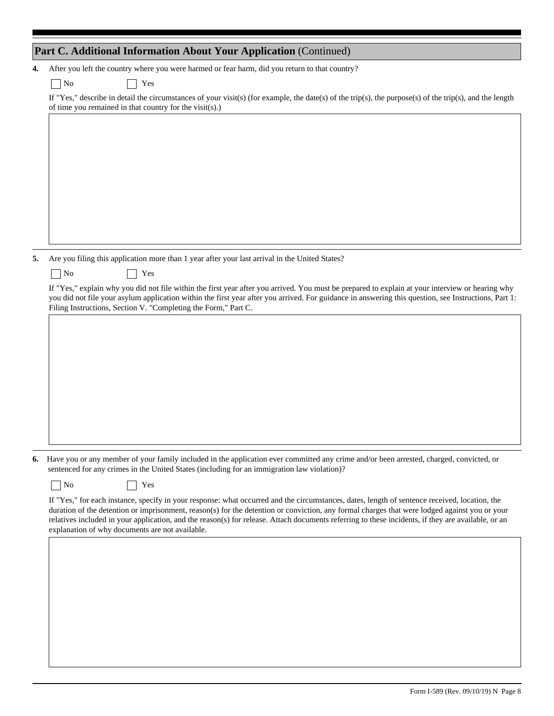#### **Part C. Additional Information About Your Application** (Continued)

**4.** After you left the country where you were harmed or fear harm, did you return to that country?

| Yes<br>No.                                                                                                                                              |
|---------------------------------------------------------------------------------------------------------------------------------------------------------|
| If "Yes," describe in detail the circumstances of your visit(s) (for example, the date(s) of the trip(s), the purpose(s) of the trip(s), and the length |
| of time you remained in that country for the visit(s).)                                                                                                 |
|                                                                                                                                                         |
|                                                                                                                                                         |
|                                                                                                                                                         |
|                                                                                                                                                         |
|                                                                                                                                                         |
|                                                                                                                                                         |
|                                                                                                                                                         |

**5.** Are you filing this application more than 1 year after your last arrival in the United States?

| ۰.<br>۰.<br>× |
|---------------|
|---------------|

Yes

If "Yes," explain why you did not file within the first year after you arrived. You must be prepared to explain at your interview or hearing why you did not file your asylum application within the first year after you arrived. For guidance in answering this question, see Instructions, Part 1: Filing Instructions, Section V. "Completing the Form," Part C.

**6.** Have you or any member of your family included in the application ever committed any crime and/or been arrested, charged, convicted, or sentenced for any crimes in the United States (including for an immigration law violation)?

|  | $\sim$ |
|--|--------|
|--|--------|

Yes

If "Yes," for each instance, specify in your response: what occurred and the circumstances, dates, length of sentence received, location, the duration of the detention or imprisonment, reason(s) for the detention or conviction, any formal charges that were lodged against you or your relatives included in your application, and the reason(s) for release. Attach documents referring to these incidents, if they are available, or an explanation of why documents are not available.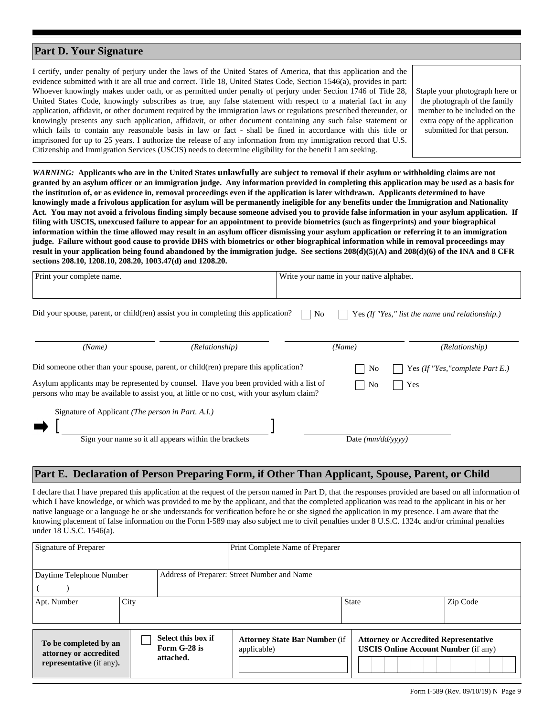#### **Part D. Your Signature**

I certify, under penalty of perjury under the laws of the United States of America, that this application and the evidence submitted with it are all true and correct. Title 18, United States Code, Section 1546(a), provides in part: Whoever knowingly makes under oath, or as permitted under penalty of perjury under Section 1746 of Title 28, United States Code, knowingly subscribes as true, any false statement with respect to a material fact in any application, affidavit, or other document required by the immigration laws or regulations prescribed thereunder, or knowingly presents any such application, affidavit, or other document containing any such false statement or which fails to contain any reasonable basis in law or fact - shall be fined in accordance with this title or imprisoned for up to 25 years. I authorize the release of any information from my immigration record that U.S. Citizenship and Immigration Services (USCIS) needs to determine eligibility for the benefit I am seeking.

Staple your photograph here or the photograph of the family member to be included on the extra copy of the application submitted for that person.

*WARNING:* **Applicants who are in the United States unlawfully are subject to removal if their asylum or withholding claims are not granted by an asylum officer or an immigration judge. Any information provided in completing this application may be used as a basis for the institution of, or as evidence in, removal proceedings even if the application is later withdrawn. Applicants determined to have knowingly made a frivolous application for asylum will be permanently ineligible for any benefits under the Immigration and Nationality Act. You may not avoid a frivolous finding simply because someone advised you to provide false information in your asylum application. If filing with USCIS, unexcused failure to appear for an appointment to provide biometrics (such as fingerprints) and your biographical information within the time allowed may result in an asylum officer dismissing your asylum application or referring it to an immigration judge. Failure without good cause to provide DHS with biometrics or other biographical information while in removal proceedings may result in your application being found abandoned by the immigration judge. See sections 208(d)(5)(A) and 208(d)(6) of the INA and 8 CFR sections 208.10, 1208.10, 208.20, 1003.47(d) and 1208.20.**

| Print your complete name.                                                          | Write your name in your native alphabet.              |  |  |
|------------------------------------------------------------------------------------|-------------------------------------------------------|--|--|
|                                                                                    |                                                       |  |  |
| Did your spouse, parent, or child (ren) assist you in completing this application? | No<br>Yes (If "Yes," list the name and relationship.) |  |  |

| (Name)                                                   | (Relationship)                                                                                                                                                                      | (Name)              | (Relationship)                   |
|----------------------------------------------------------|-------------------------------------------------------------------------------------------------------------------------------------------------------------------------------------|---------------------|----------------------------------|
|                                                          | Did someone other than your spouse, parent, or child(ren) prepare this application?                                                                                                 | No.                 | Yes (If "Yes, "complete Part E.) |
|                                                          | Asylum applicants may be represented by counsel. Have you been provided with a list of<br>persons who may be available to assist you, at little or no cost, with your asylum claim? | No                  | Yes                              |
| Signature of Applicant <i>(The person in Part. A.I.)</i> |                                                                                                                                                                                     |                     |                                  |
|                                                          |                                                                                                                                                                                     |                     |                                  |
|                                                          | Sign your name so it all appears within the brackets                                                                                                                                | Date $(mm/dd/vvvv)$ |                                  |

#### **Part E. Declaration of Person Preparing Form, if Other Than Applicant, Spouse, Parent, or Child**

I declare that I have prepared this application at the request of the person named in Part D, that the responses provided are based on all information of which I have knowledge, or which was provided to me by the applicant, and that the completed application was read to the applicant in his or her native language or a language he or she understands for verification before he or she signed the application in my presence. I am aware that the knowing placement of false information on the Form I-589 may also subject me to civil penalties under 8 U.S.C. 1324c and/or criminal penalties under 18 U.S.C. 1546(a).

| Signature of Preparer                                                       |  | Print Complete Name of Preparer                 |                                                      |                                                                                             |  |
|-----------------------------------------------------------------------------|--|-------------------------------------------------|------------------------------------------------------|---------------------------------------------------------------------------------------------|--|
|                                                                             |  |                                                 |                                                      |                                                                                             |  |
| Daytime Telephone Number                                                    |  | Address of Preparer: Street Number and Name     |                                                      |                                                                                             |  |
|                                                                             |  |                                                 |                                                      |                                                                                             |  |
| City<br>Apt. Number                                                         |  | <b>State</b>                                    |                                                      | Zip Code                                                                                    |  |
|                                                                             |  |                                                 |                                                      |                                                                                             |  |
| To be completed by an<br>attorney or accredited<br>representative (if any). |  | Select this box if<br>Form G-28 is<br>attached. | <b>Attorney State Bar Number (if)</b><br>applicable) | <b>Attorney or Accredited Representative</b><br><b>USCIS Online Account Number</b> (if any) |  |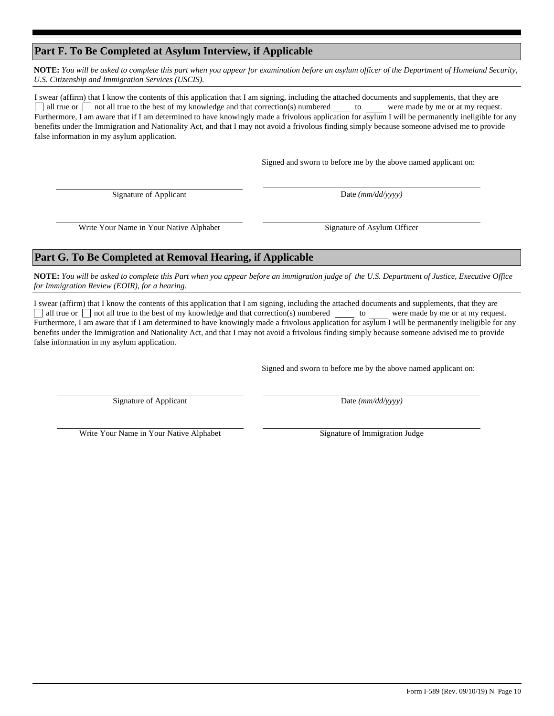#### **Part F. To Be Completed at Asylum Interview, if Applicable**

**NOTE:** *You will be asked to complete this part when you appear for examination before an asylum officer of the Department of Homeland Security, U.S. Citizenship and Immigration Services (USCIS).*

I swear (affirm) that I know the contents of this application that I am signing, including the attached documents and supplements, that they are | all true or  $\vert$  not all true to the best of my knowledge and that correction(s) numbered to were made by me or at my request. Furthermore, I am aware that if I am determined to have knowingly made a frivolous application for asylum I will be permanently ineligible for any benefits under the Immigration and Nationality Act, and that I may not avoid a frivolous finding simply because someone advised me to provide false information in my asylum application.

Signed and sworn to before me by the above named applicant on:

Signature of Applicant

Date *(mm/dd/yyyy)*

Write Your Name in Your Native Alphabet Signature of Asylum Officer

#### **Part G. To Be Completed at Removal Hearing, if Applicable**

**NOTE:** *You will be asked to complete this Part when you appear before an immigration judge of the U.S. Department of Justice, Executive Office for Immigration Review (EOIR), for a hearing.* 

I swear (affirm) that I know the contents of this application that I am signing, including the attached documents and supplements, that they are  $\Box$  all true or  $\Box$  not all true to the best of my knowledge and that corr all true or not all true to the best of my knowledge and that correction(s) numbered to Furthermore, I am aware that if I am determined to have knowingly made a frivolous application for asylum I will be permanently ineligible for any benefits under the Immigration and Nationality Act, and that I may not avoid a frivolous finding simply because someone advised me to provide false information in my asylum application.

Signed and sworn to before me by the above named applicant on:

Signature of Applicant

Date *(mm/dd/yyyy)*

Write Your Name in Your Native Alphabet Signature of Immigration Judge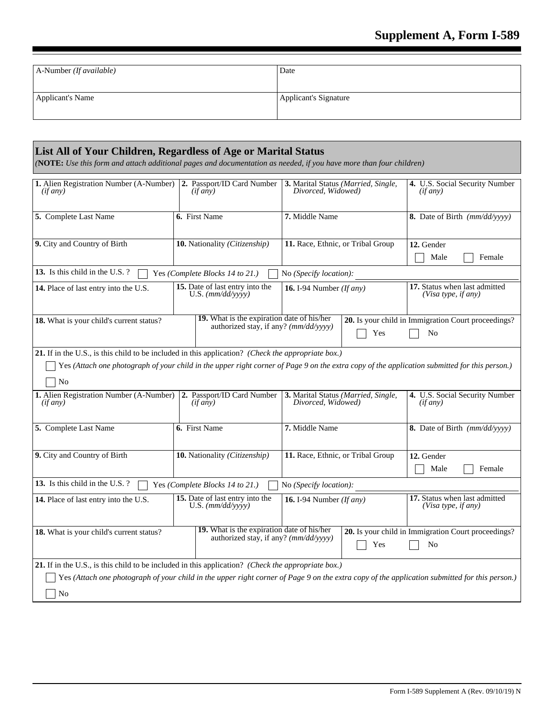| $\vert$ A-Number ( <i>If available</i> ) | Date                  |
|------------------------------------------|-----------------------|
| Applicant's Name                         | Applicant's Signature |

### **List All of Your Children, Regardless of Age or Marital Status**

*(***NOTE:** *Use this form and attach additional pages and documentation as needed, if you have more than four children)*

| 1. Alien Registration Number (A-Number) 2. Passport/ID Card Number<br>(if any)                                                                                                                                                                                        | (if any)                                                                            | 3. Marital Status (Married, Single,<br>Divorced, Widowed) | 4. U.S. Social Security Number<br>(if any)                |  |
|-----------------------------------------------------------------------------------------------------------------------------------------------------------------------------------------------------------------------------------------------------------------------|-------------------------------------------------------------------------------------|-----------------------------------------------------------|-----------------------------------------------------------|--|
| 5. Complete Last Name                                                                                                                                                                                                                                                 | 6. First Name                                                                       | 7. Middle Name                                            | 8. Date of Birth $(mm/dd/yyyy)$                           |  |
| 9. City and Country of Birth                                                                                                                                                                                                                                          | 10. Nationality (Citizenship)                                                       | 11. Race, Ethnic, or Tribal Group                         | 12. Gender<br>Male<br>Female                              |  |
| 13. Is this child in the U.S.?<br>Yes (Complete Blocks 14 to 21.)<br>No (Specify location):                                                                                                                                                                           |                                                                                     |                                                           |                                                           |  |
| 14. Place of last entry into the U.S.                                                                                                                                                                                                                                 | <b>15.</b> Date of last entry into the<br>U.S. $(mm/dd/yyyy)$                       | 16. I-94 Number $(If any)$                                | 17. Status when last admitted<br>(Visa type, if any)      |  |
| 18. What is your child's current status?                                                                                                                                                                                                                              | 19. What is the expiration date of his/her<br>authorized stay, if any? (mm/dd/yyyy) | Yes                                                       | 20. Is your child in Immigration Court proceedings?<br>No |  |
| 21. If in the U.S., is this child to be included in this application? (Check the appropriate box.)<br>Yes (Attach one photograph of your child in the upper right corner of Page 9 on the extra copy of the application submitted for this person.)<br>N <sub>0</sub> |                                                                                     |                                                           |                                                           |  |
| 1. Alien Registration Number (A-Number)<br>(if any)                                                                                                                                                                                                                   | 2. Passport/ID Card Number<br>(if any)                                              | 3. Marital Status (Married, Single,<br>Divorced, Widowed) | 4. U.S. Social Security Number<br>(if any)                |  |
| 5. Complete Last Name                                                                                                                                                                                                                                                 | 6. First Name                                                                       | 7. Middle Name                                            | 8. Date of Birth $(mm/dd/yyyy)$                           |  |
| 9. City and Country of Birth                                                                                                                                                                                                                                          | 10. Nationality (Citizenship)                                                       | 11. Race, Ethnic, or Tribal Group                         | 12. Gender<br>Male<br>Female                              |  |
| 13. Is this child in the U.S.?<br>Yes (Complete Blocks 14 to 21.)<br>No (Specify location):                                                                                                                                                                           |                                                                                     |                                                           |                                                           |  |
| 14. Place of last entry into the U.S.                                                                                                                                                                                                                                 | 15. Date of last entry into the<br>U.S. (mm/dd/yyyy)                                | 16. I-94 Number $(If any)$                                | 17. Status when last admitted<br>(Visa type, if any)      |  |
| 18. What is your child's current status?                                                                                                                                                                                                                              | 19. What is the expiration date of his/her<br>authorized stay, if any? (mm/dd/yyyy) | Yes                                                       | 20. Is your child in Immigration Court proceedings?<br>No |  |
| 21. If in the U.S., is this child to be included in this application? (Check the appropriate box.)<br>Yes (Attach one photograph of your child in the upper right corner of Page 9 on the extra copy of the application submitted for this person.)<br>N <sub>o</sub> |                                                                                     |                                                           |                                                           |  |